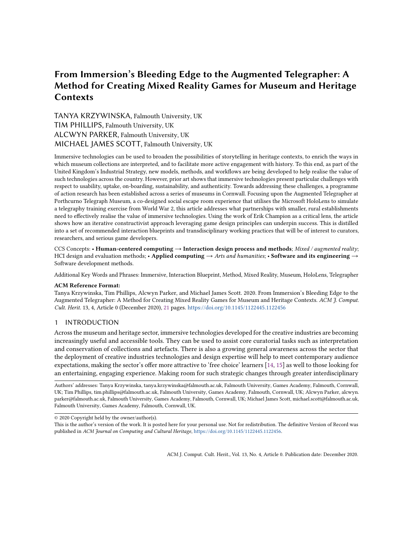# From Immersion's Bleeding Edge to the Augmented Telegrapher: A Method for Creating Mixed Reality Games for Museum and Heritage **Contexts**

TANYA KRZYWINSKA, Falmouth University, UK TIM PHILLIPS, Falmouth University, UK ALCWYN PARKER, Falmouth University, UK MICHAEL JAMES SCOTT, Falmouth University, UK

Immersive technologies can be used to broaden the possibilities of storytelling in heritage contexts, to enrich the ways in which museum collections are interpreted, and to facilitate more active engagement with history. To this end, as part of the United Kingdom's Industrial Strategy, new models, methods, and workflows are being developed to help realise the value of such technologies across the country. However, prior art shows that immersive technologies present particular challenges with respect to usability, uptake, on-boarding, sustainability, and authenticity. Towards addressing these challenges, a programme of action research has been established across a series of museums in Cornwall. Focusing upon the Augmented Telegrapher at Porthcurno Telegraph Museum, a co-designed social escape room experience that utilises the Microsoft HoloLens to simulate a telegraphy training exercise from World War 2, this article addresses what partnerships with smaller, rural establishments need to effectively realise the value of immersive technologies. Using the work of Erik Champion as a critical lens, the article shows how an iterative constructivist approach leveraging game design principles can underpin success. This is distilled into a set of recommended interaction blueprints and transdisciplinary working practices that will be of interest to curators, researchers, and serious game developers.

CCS Concepts: • Human-centered computing → Interaction design process and methods; Mixed / augmented reality; HCI design and evaluation methods; • Applied computing  $\rightarrow$  Arts and humanities; • Software and its engineering  $\rightarrow$ Software development methods.

Additional Key Words and Phrases: Immersive, Interaction Blueprint, Method, Mixed Reality, Museum, HoloLens, Telegrapher

### ACM Reference Format:

Tanya Krzywinska, Tim Phillips, Alcwyn Parker, and Michael James Scott. 2020. From Immersion's Bleeding Edge to the Augmented Telegrapher: A Method for Creating Mixed Reality Games for Museum and Heritage Contexts. ACM J. Comput. Cult. Herit. 13, 4, Article 0 (December 2020), [21](#page-20-0) pages. <https://doi.org/10.1145/1122445.1122456>

# 1 INTRODUCTION

Across the museum and heritage sector, immersive technologies developed for the creative industries are becoming increasingly useful and accessible tools. They can be used to assist core curatorial tasks such as interpretation and conservation of collections and artefacts. There is also a growing general awareness across the sector that the deployment of creative industries technologies and design expertise will help to meet contemporary audience expectations, making the sector's offer more attractive to 'free choice' learners [\[14,](#page-19-0) [15\]](#page-19-1) as well to those looking for an entertaining, engaging experience. Making room for such strategic changes through greater interdisciplinary

Authors' addresses: Tanya Krzywinska, tanya.krzywinska@falmouth.ac.uk, Falmouth University, Games Academy, Falmouth, Cornwall, UK; Tim Phillips, tim.phillips@falmouth.ac.uk, Falmouth University, Games Academy, Falmouth, Cornwall, UK; Alcwyn Parker, alcwyn. parker@falmouth.ac.uk, Falmouth University, Games Academy, Falmouth, Cornwall, UK; Michael James Scott, michael.scott@falmouth.ac.uk, Falmouth University, Games Academy, Falmouth, Cornwall, UK.

© 2020 Copyright held by the owner/author(s).

This is the author's version of the work. It is posted here for your personal use. Not for redistribution. The definitive Version of Record was published in ACM Journal on Computing and Cultural Heritage, [https://doi.org/10.1145/1122445.1122456.](https://doi.org/10.1145/1122445.1122456)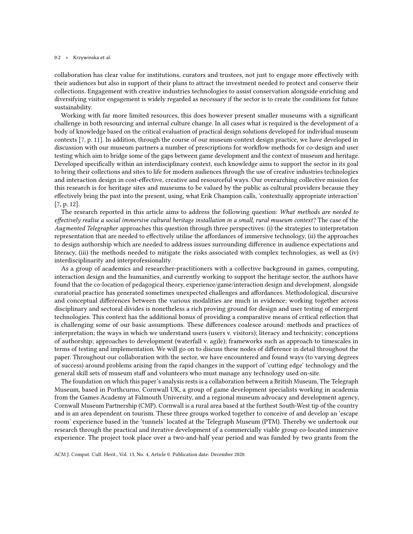#### 0:2 • Krzywinska et al.

collaboration has clear value for institutions, curators and trustees, not just to engage more effectively with their audiences but also in support of their plans to attract the investment needed to protect and conserve their collections. Engagement with creative industries technologies to assist conservation alongside enriching and diversifying visitor engagement is widely regarded as necessary if the sector is to create the conditions for future sustainability.

Working with far more limited resources, this does however present smaller museums with a significant challenge in both resourcing and internal culture change. In all cases what is required is the development of a body of knowledge based on the critical evaluation of practical design solutions developed for individual museum contexts [\[7,](#page-19-2) p. 11]. In addition, through the course of our museum-context design practice, we have developed in discussion with our museum partners a number of prescriptions for workflow methods for co-design and user testing which aim to bridge some of the gaps between game development and the context of museum and heritage. Developed specifically within an interdisciplinary context, such knowledge aims to support the sector in its goal to bring their collections and sites to life for modern audiences through the use of creative industries technologies and interaction design in cost-effective, creative and resourceful ways. Our overarching collective mission for this research is for heritage sites and museums to be valued by the public as cultural providers because they effectively bring the past into the present, using, what Erik Champion calls, 'contextually appropriate interaction' [\[7,](#page-19-2) p. 12].

The research reported in this article aims to address the following question: What methods are needed to effectively realise a social immersive cultural heritage installation in a small, rural museum context? The case of the Augmented Telegrapher approaches this question through three perspectives: (i) the strategies to interpretation representation that are needed to effectively utilise the affordances of immersive technology, (ii) the approaches to design authorship which are needed to address issues surrounding difference in audience expectations and literacy, (iii) the methods needed to mitigate the risks associated with complex technologies, as well as (iv) interdisciplinarity and interprofessionality.

As a group of academics and researcher-practitioners with a collective background in games, computing, interaction design and the humanities, and currently working to support the heritage sector, the authors have found that the co-location of pedagogical theory, experience/game/interaction design and development, alongside curatorial practice has generated sometimes unexpected challenges and affordances. Methodological, discursive and conceptual differences between the various modalities are much in evidence; working together across disciplinary and sectoral divides is nonetheless a rich proving ground for design and user testing of emergent technologies. This context has the additional bonus of providing a comparative means of critical reflection that is challenging some of our basic assumptions. These differences coalesce around: methods and practices of interpretation; the ways in which we understand users (users v. visitors); literacy and technicity; conceptions of authorship; approaches to development (waterfall v. agile); frameworks such as approach to timescales in terms of testing and implementation. We will go on to discuss these nodes of difference in detail throughout the paper. Throughout our collaboration with the sector, we have encountered and found ways (to varying degrees of success) around problems arising from the rapid changes in the support of 'cutting edge' technology and the general skill sets of museum staff and volunteers who must manage any technology used on-site.

The foundation on which this paper's analysis rests is a collaboration between a British Museum, The Telegraph Museum, based in Porthcurno, Cornwall UK, a group of game development specialists working in academia from the Games Academy at Falmouth University, and a regional museum advocacy and development agency, Cornwall Museum Partnership (CMP). Cornwall is a rural area based at the furthest South-West tip of the country and is an area dependent on tourism. These three groups worked together to conceive of and develop an 'escape room' experience based in the 'tunnels' located at the Telegraph Museum (PTM). Thereby we undertook our research through the practical and iterative development of a commercially viable group co-located immersive experience. The project took place over a two-and-half year period and was funded by two grants from the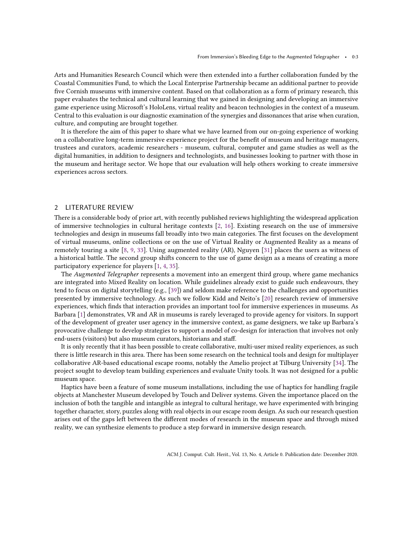Arts and Humanities Research Council which were then extended into a further collaboration funded by the Coastal Communities Fund, to which the Local Enterprise Partnership became an additional partner to provide five Cornish museums with immersive content. Based on that collaboration as a form of primary research, this paper evaluates the technical and cultural learning that we gained in designing and developing an immersive game experience using Microsoft's HoloLens, virtual reality and beacon technologies in the context of a museum. Central to this evaluation is our diagnostic examination of the synergies and dissonances that arise when curation, culture, and computing are brought together.

It is therefore the aim of this paper to share what we have learned from our on-going experience of working on a collaborative long-term immersive experience project for the benefit of museum and heritage managers, trustees and curators, academic researchers - museum, cultural, computer and game studies as well as the digital humanities, in addition to designers and technologists, and businesses looking to partner with those in the museum and heritage sector. We hope that our evaluation will help others working to create immersive experiences across sectors.

# 2 LITERATURE REVIEW

There is a considerable body of prior art, with recently published reviews highlighting the widespread application of immersive technologies in cultural heritage contexts [\[2,](#page-19-3) [16\]](#page-19-4). Existing research on the use of immersive technologies and design in museums fall broadly into two main categories. The first focuses on the development of virtual museums, online collections or on the use of Virtual Reality or Augmented Reality as a means of remotely touring a site [\[8,](#page-19-5) [9,](#page-19-6) [33\]](#page-20-1). Using augmented reality (AR), Nguyen [\[31\]](#page-19-7) places the users as witness of a historical battle. The second group shifts concern to the use of game design as a means of creating a more participatory experience for players [\[1,](#page-19-8) [4,](#page-19-9) [35\]](#page-20-2).

The Augmented Telegrapher represents a movement into an emergent third group, where game mechanics are integrated into Mixed Reality on location. While guidelines already exist to guide such endeavours, they tend to focus on digital storytelling (e.g., [\[39\]](#page-20-3)) and seldom make reference to the challenges and opportunities presented by immersive technology. As such we follow Kidd and Neito's [\[20\]](#page-19-10) research review of immersive experiences, which finds that interaction provides an important tool for immersive experiences in museums. As Barbara [\[1\]](#page-19-8) demonstrates, VR and AR in museums is rarely leveraged to provide agency for visitors. In support of the development of greater user agency in the immersive context, as game designers, we take up Barbara's provocative challenge to develop strategies to support a model of co-design for interaction that involves not only end-users (visitors) but also museum curators, historians and staff.

It is only recently that it has been possible to create collaborative, multi-user mixed reality experiences, as such there is little research in this area. There has been some research on the technical tools and design for multiplayer collaborative AR-based educational escape rooms, notably the Amelio project at Tilburg University [\[34\]](#page-20-4). The project sought to develop team building experiences and evaluate Unity tools. It was not designed for a public museum space.

Haptics have been a feature of some museum installations, including the use of haptics for handling fragile objects at Manchester Museum developed by Touch and Deliver systems. Given the importance placed on the inclusion of both the tangible and intangible as integral to cultural heritage, we have experimented with bringing together character, story, puzzles along with real objects in our escape room design. As such our research question arises out of the gaps left between the different modes of research in the museum space and through mixed reality, we can synthesize elements to produce a step forward in immersive design research.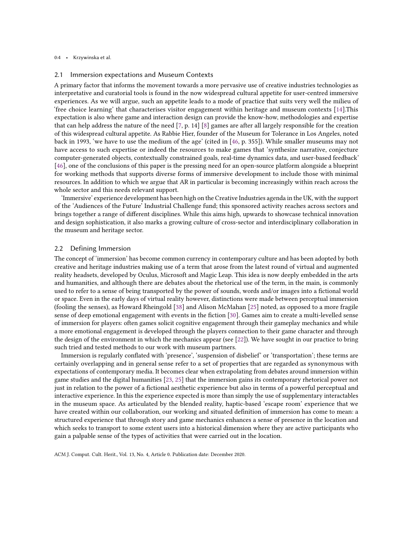#### 0:4 • Krzywinska et al.

## 2.1 Immersion expectations and Museum Contexts

A primary factor that informs the movement towards a more pervasive use of creative industries technologies as interpretative and curatorial tools is found in the now widespread cultural appetite for user-centred immersive experiences. As we will argue, such an appetite leads to a mode of practice that suits very well the milieu of 'free choice learning' that characterises visitor engagement within heritage and museum contexts [\[14\]](#page-19-0).This expectation is also where game and interaction design can provide the know-how, methodologies and expertise that can help address the nature of the need [\[7,](#page-19-2) p. 14] [\[8\]](#page-19-5) games are after all largely responsible for the creation of this widespread cultural appetite. As Rabbie Hier, founder of the Museum for Tolerance in Los Angeles, noted back in 1993, 'we have to use the medium of the age' (cited in [\[46,](#page-20-5) p. 355]). While smaller museums may not have access to such expertise or indeed the resources to make games that 'synthesize narrative, conjecture computer-generated objects, contextually constrained goals, real-time dynamics data, and user-based feedback' [\[46\]](#page-20-5), one of the conclusions of this paper is the pressing need for an open-source platform alongside a blueprint for working methods that supports diverse forms of immersive development to include those with minimal resources. In addition to which we argue that AR in particular is becoming increasingly within reach across the whole sector and this needs relevant support.

'Immersive' experience development has been high on the Creative Industries agenda in the UK, with the support of the 'Audiences of the Future' Industrial Challenge fund; this sponsored activity reaches across sectors and brings together a range of different disciplines. While this aims high, upwards to showcase technical innovation and design sophistication, it also marks a growing culture of cross-sector and interdisciplinary collaboration in the museum and heritage sector.

### 2.2 Defining Immersion

The concept of 'immersion' has become common currency in contemporary culture and has been adopted by both creative and heritage industries making use of a term that arose from the latest round of virtual and augmented reality headsets, developed by Oculus, Microsoft and Magic Leap. This idea is now deeply embedded in the arts and humanities, and although there are debates about the rhetorical use of the term, in the main, is commonly used to refer to a sense of being transported by the power of sounds, words and/or images into a fictional world or space. Even in the early days of virtual reality however, distinctions were made between perceptual immersion (fooling the senses), as Howard Rheingold [\[38\]](#page-20-6) and Alison McMahan [\[25\]](#page-19-11) noted, as opposed to a more fragile sense of deep emotional engagement with events in the fiction [\[30\]](#page-19-12). Games aim to create a multi-levelled sense of immersion for players: often games solicit cognitive engagement through their gameplay mechanics and while a more emotional engagement is developed through the players connection to their game character and through the design of the environment in which the mechanics appear (see [\[22\]](#page-19-13)). We have sought in our practice to bring such tried and tested methods to our work with museum partners.

Immersion is regularly conflated with 'presence', 'suspension of disbelief' or 'transportation'; these terms are certainly overlapping and in general sense refer to a set of properties that are regarded as synonymous with expectations of contemporary media. It becomes clear when extrapolating from debates around immersion within game studies and the digital humanities [\[23,](#page-19-14) [25\]](#page-19-11) that the immersion gains its contemporary rhetorical power not just in relation to the power of a fictional aesthetic experience but also in terms of a powerful perceptual and interactive experience. In this the experience expected is more than simply the use of supplementary interactables in the museum space. As articulated by the blended reality, haptic-based 'escape room' experience that we have created within our collaboration, our working and situated definition of immersion has come to mean: a structured experience that through story and game mechanics enhances a sense of presence in the location and which seeks to transport to some extent users into a historical dimension where they are active participants who gain a palpable sense of the types of activities that were carried out in the location.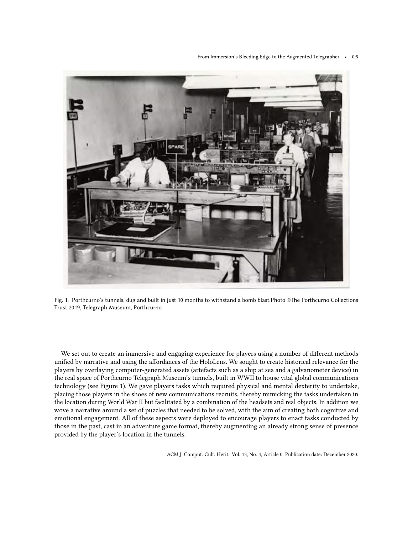From Immersion's Bleeding Edge to the Augmented Telegrapher • 0:5



Fig. 1. Porthcurno's tunnels, dug and built in just 10 months to withstand a bomb blast.Photo ©The Porthcurno Collections Trust 2019, Telegraph Museum, Porthcurno.

We set out to create an immersive and engaging experience for players using a number of different methods unified by narrative and using the affordances of the HoloLens. We sought to create historical relevance for the players by overlaying computer-generated assets (artefacts such as a ship at sea and a galvanometer device) in the real space of Porthcurno Telegraph Museum's tunnels, built in WWII to house vital global communications technology (see Figure 1). We gave players tasks which required physical and mental dexterity to undertake, placing those players in the shoes of new communications recruits, thereby mimicking the tasks undertaken in the location during World War II but facilitated by a combination of the headsets and real objects. In addition we wove a narrative around a set of puzzles that needed to be solved, with the aim of creating both cognitive and emotional engagement. All of these aspects were deployed to encourage players to enact tasks conducted by those in the past, cast in an adventure game format, thereby augmenting an already strong sense of presence provided by the player's location in the tunnels.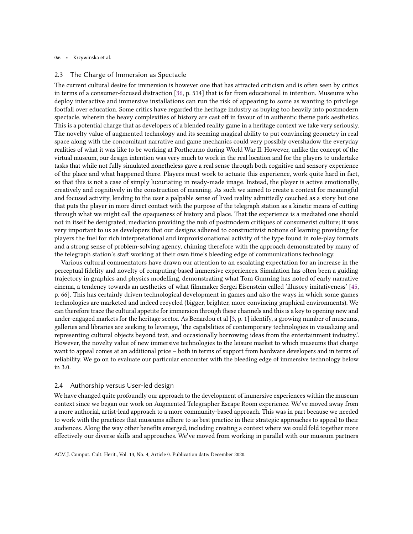### 0:6 • Krzywinska et al.

### 2.3 The Charge of Immersion as Spectacle

The current cultural desire for immersion is however one that has attracted criticism and is often seen by critics in terms of a consumer-focused distraction [\[36,](#page-20-7) p. 514] that is far from educational in intention. Museums who deploy interactive and immersive installations can run the risk of appearing to some as wanting to privilege footfall over education. Some critics have regarded the heritage industry as buying too heavily into postmodern spectacle, wherein the heavy complexities of history are cast off in favour of in authentic theme park aesthetics. This is a potential charge that as developers of a blended reality game in a heritage context we take very seriously. The novelty value of augmented technology and its seeming magical ability to put convincing geometry in real space along with the concomitant narrative and game mechanics could very possibly overshadow the everyday realities of what it was like to be working at Porthcurno during World War II. However, unlike the concept of the virtual museum, our design intention was very much to work in the real location and for the players to undertake tasks that while not fully simulated nonetheless gave a real sense through both cognitive and sensory experience of the place and what happened there. Players must work to actuate this experience, work quite hard in fact, so that this is not a case of simply luxuriating in ready-made image. Instead, the player is active emotionally, creatively and cognitively in the construction of meaning. As such we aimed to create a context for meaningful and focused activity, lending to the user a palpable sense of lived reality admittedly couched as a story but one that puts the player in more direct contact with the purpose of the telegraph station as a kinetic means of cutting through what we might call the opaqueness of history and place. That the experience is a mediated one should not in itself be denigrated, mediation providing the nub of postmodern critiques of consumerist culture; it was very important to us as developers that our designs adhered to constructivist notions of learning providing for players the fuel for rich interpretational and improvisionational activity of the type found in role-play formats and a strong sense of problem-solving agency, chiming therefore with the approach demonstrated by many of the telegraph station's staff working at their own time's bleeding edge of communications technology.

Various cultural commentators have drawn our attention to an escalating expectation for an increase in the perceptual fidelity and novelty of computing-based immersive experiences. Simulation has often been a guiding trajectory in graphics and physics modelling, demonstrating what Tom Gunning has noted of early narrative cinema, a tendency towards an aesthetics of what filmmaker Sergei Eisenstein called 'illusory imitativeness' [\[45,](#page-20-8) p. 66]. This has certainly driven technological development in games and also the ways in which some games technologies are marketed and indeed recycled (bigger, brighter, more convincing graphical environments). We can therefore trace the cultural appetite for immersion through these channels and this is a key to opening new and under-engaged markets for the heritage sector. As Benardou et al [\[3,](#page-19-15) p. 1] identify, a growing number of museums, galleries and libraries are seeking to leverage, 'the capabilities of contemporary technologies in visualizing and representing cultural objects beyond text, and occasionally borrowing ideas from the entertainment industry.'. However, the novelty value of new immersive technologies to the leisure market to which museums that charge want to appeal comes at an additional price – both in terms of support from hardware developers and in terms of reliability. We go on to evaluate our particular encounter with the bleeding edge of immersive technology below in 3.0.

# 2.4 Authorship versus User-led design

We have changed quite profoundly our approach to the development of immersive experiences within the museum context since we began our work on Augmented Telegrapher Escape Room experience. We've moved away from a more authorial, artist-lead approach to a more community-based approach. This was in part because we needed to work with the practices that museums adhere to as best practice in their strategic approaches to appeal to their audiences. Along the way other benefits emerged, including creating a context where we could fold together more effectively our diverse skills and approaches. We've moved from working in parallel with our museum partners

ACM J. Comput. Cult. Herit., Vol. 13, No. 4, Article 0. Publication date: December 2020.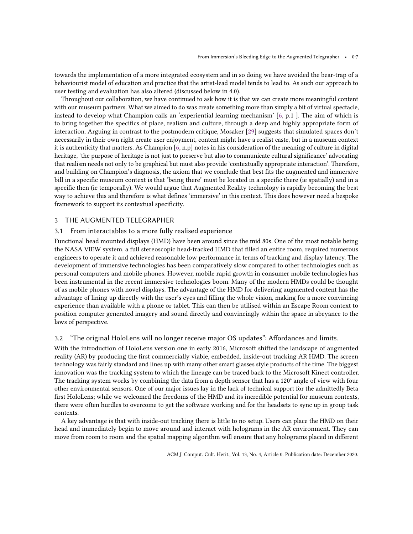towards the implementation of a more integrated ecosystem and in so doing we have avoided the bear-trap of a behaviourist model of education and practice that the artist-lead model tends to lead to. As such our approach to user testing and evaluation has also altered (discussed below in 4.0).

Throughout our collaboration, we have continued to ask how it is that we can create more meaningful content with our museum partners. What we aimed to do was create something more than simply a bit of virtual spectacle, instead to develop what Champion calls an 'experiential learning mechanism' [\[6,](#page-19-16) p.1 ]. The aim of which is to bring together the specifics of place, realism and culture, through a deep and highly appropriate form of interaction. Arguing in contrast to the postmodern critique, Mosaker [\[29\]](#page-19-17) suggests that simulated spaces don't necessarily in their own right create user enjoyment, content might have a realist caste, but in a museum context it is authenticity that matters. As Champion [\[6,](#page-19-16) n.p] notes in his consideration of the meaning of culture in digital heritage, 'the purpose of heritage is not just to preserve but also to communicate cultural significance' advocating that realism needs not only to be graphical but must also provide 'contextually appropriate interaction'. Therefore, and building on Champion's diagnosis, the axiom that we conclude that best fits the augmented and immersive bill in a specific museum context is that 'being there' must be located in a specific there (ie spatially) and in a specific then (ie temporally). We would argue that Augmented Reality technology is rapidly becoming the best way to achieve this and therefore is what defines 'immersive' in this context. This does however need a bespoke framework to support its contextual specificity.

# 3 THE AUGMENTED TELEGRAPHER

### 3.1 From interactables to a more fully realised experience

Functional head mounted displays (HMD) have been around since the mid 80s. One of the most notable being the NASA VIEW system, a full stereoscopic head-tracked HMD that filled an entire room, required numerous engineers to operate it and achieved reasonable low performance in terms of tracking and display latency. The development of immersive technologies has been comparatively slow compared to other technologies such as personal computers and mobile phones. However, mobile rapid growth in consumer mobile technologies has been instrumental in the recent immersive technologies boom. Many of the modern HMDs could be thought of as mobile phones with novel displays. The advantage of the HMD for delivering augmented content has the advantage of lining up directly with the user's eyes and filling the whole vision, making for a more convincing experience than available with a phone or tablet. This can then be utilised within an Escape Room context to position computer generated imagery and sound directly and convincingly within the space in abeyance to the laws of perspective.

# 3.2 "The original HoloLens will no longer receive major OS updates": Affordances and limits.

With the introduction of HoloLens version one in early 2016, Microsoft shifted the landscape of augmented reality (AR) by producing the first commercially viable, embedded, inside-out tracking AR HMD. The screen technology was fairly standard and lines up with many other smart glasses style products of the time. The biggest innovation was the tracking system to which the lineage can be traced back to the Microsoft Kinect controller. The tracking system works by combining the data from a depth sensor that has a 120° angle of view with four other environmental sensors. One of our major issues lay in the lack of technical support for the admittedly Beta first HoloLens; while we welcomed the freedoms of the HMD and its incredible potential for museum contexts, there were often hurdles to overcome to get the software working and for the headsets to sync up in group task contexts.

A key advantage is that with inside-out tracking there is little to no setup. Users can place the HMD on their head and immediately begin to move around and interact with holograms in the AR environment. They can move from room to room and the spatial mapping algorithm will ensure that any holograms placed in different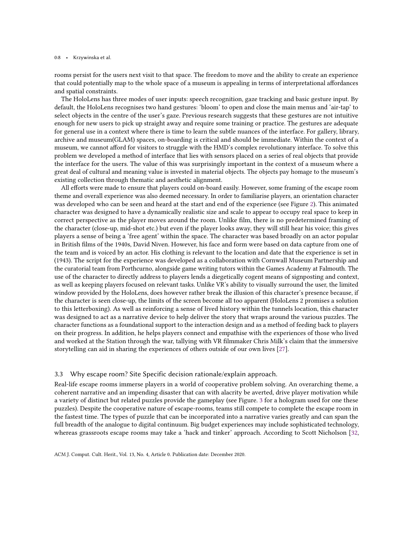#### 0:8 • Krzywinska et al.

rooms persist for the users next visit to that space. The freedom to move and the ability to create an experience that could potentially map to the whole space of a museum is appealing in terms of interpretational affordances and spatial constraints.

The HoloLens has three modes of user inputs: speech recognition, gaze tracking and basic gesture input. By default, the HoloLens recognises two hand gestures: 'bloom' to open and close the main menus and 'air-tap' to select objects in the centre of the user's gaze. Previous research suggests that these gestures are not intuitive enough for new users to pick up straight away and require some training or practice. The gestures are adequate for general use in a context where there is time to learn the subtle nuances of the interface. For gallery, library, archive and museum(GLAM) spaces, on-boarding is critical and should be immediate. Within the context of a museum, we cannot afford for visitors to struggle with the HMD's complex revolutionary interface. To solve this problem we developed a method of interface that lies with sensors placed on a series of real objects that provide the interface for the users. The value of this was surprisingly important in the context of a museum where a great deal of cultural and meaning value is invested in material objects. The objects pay homage to the museum's existing collection through thematic and aesthetic alignment.

All efforts were made to ensure that players could on-board easily. However, some framing of the escape room theme and overall experience was also deemed necessary. In order to familiarise players, an orientation character was developed who can be seen and heard at the start and end of the experience (see Figure [2\)](#page-8-0). This animated character was designed to have a dynamically realistic size and scale to appear to occupy real space to keep in correct perspective as the player moves around the room. Unlike film, there is no predetermined framing of the character (close-up, mid-shot etc.) but even if the player looks away, they will still hear his voice; this gives players a sense of being a 'free agent' within the space. The character was based broadly on an actor popular in British films of the 1940s, David Niven. However, his face and form were based on data capture from one of the team and is voiced by an actor. His clothing is relevant to the location and date that the experience is set in (1943). The script for the experience was developed as a collaboration with Cornwall Museum Partnership and the curatorial team from Porthcurno, alongside game writing tutors within the Games Academy at Falmouth. The use of the character to directly address to players lends a diegetically cogent means of signposting and context, as well as keeping players focused on relevant tasks. Unlike VR's ability to visually surround the user, the limited window provided by the HoloLens, does however rather break the illusion of this character's presence because, if the character is seen close-up, the limits of the screen become all too apparent (HoloLens 2 promises a solution to this letterboxing). As well as reinforcing a sense of lived history within the tunnels location, this character was designed to act as a narrative device to help deliver the story that wraps around the various puzzles. The character functions as a foundational support to the interaction design and as a method of feeding back to players on their progress. In addition, he helps players connect and empathise with the experiences of those who lived and worked at the Station through the war, tallying with VR filmmaker Chris Milk's claim that the immersive storytelling can aid in sharing the experiences of others outside of our own lives [\[27\]](#page-19-18).

# 3.3 Why escape room? Site Specific decision rationale/explain approach.

Real-life escape rooms immerse players in a world of cooperative problem solving. An overarching theme, a coherent narrative and an impending disaster that can with alacrity be averted, drive player motivation while a variety of distinct but related puzzles provide the gameplay (see Figure. [3](#page-9-0) for a hologram used for one these puzzles). Despite the cooperative nature of escape-rooms, teams still compete to complete the escape room in the fastest time. The types of puzzle that can be incorporated into a narrative varies greatly and can span the full breadth of the analogue to digital continuum. Big budget experiences may include sophisticated technology, whereas grassroots escape rooms may take a 'hack and tinker' approach. According to Scott Nicholson [\[32,](#page-20-9)

ACM J. Comput. Cult. Herit., Vol. 13, No. 4, Article 0. Publication date: December 2020.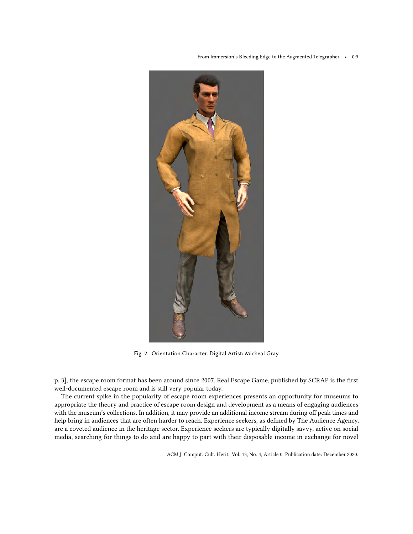From Immersion's Bleeding Edge to the Augmented Telegrapher • 0:9

<span id="page-8-0"></span>

Fig. 2. Orientation Character. Digital Artist: Micheal Gray

p. 3], the escape room format has been around since 2007. Real Escape Game, published by SCRAP is the first well-documented escape room and is still very popular today.

The current spike in the popularity of escape room experiences presents an opportunity for museums to appropriate the theory and practice of escape room design and development as a means of engaging audiences with the museum's collections. In addition, it may provide an additional income stream during off peak times and help bring in audiences that are often harder to reach. Experience seekers, as defined by The Audience Agency, are a coveted audience in the heritage sector. Experience seekers are typically digitally savvy, active on social media, searching for things to do and are happy to part with their disposable income in exchange for novel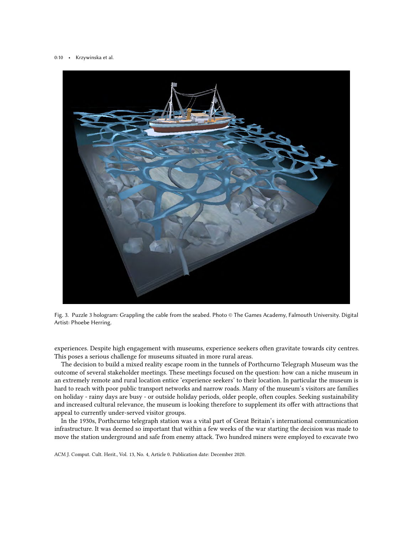<span id="page-9-0"></span>



experiences. Despite high engagement with museums, experience seekers often gravitate towards city centres. This poses a serious challenge for museums situated in more rural areas.

The decision to build a mixed reality escape room in the tunnels of Porthcurno Telegraph Museum was the outcome of several stakeholder meetings. These meetings focused on the question: how can a niche museum in an extremely remote and rural location entice 'experience seekers' to their location. In particular the museum is hard to reach with poor public transport networks and narrow roads. Many of the museum's visitors are families on holiday - rainy days are busy - or outside holiday periods, older people, often couples. Seeking sustainability and increased cultural relevance, the museum is looking therefore to supplement its offer with attractions that appeal to currently under-served visitor groups.

In the 1930s, Porthcurno telegraph station was a vital part of Great Britain's international communication infrastructure. It was deemed so important that within a few weeks of the war starting the decision was made to move the station underground and safe from enemy attack. Two hundred miners were employed to excavate two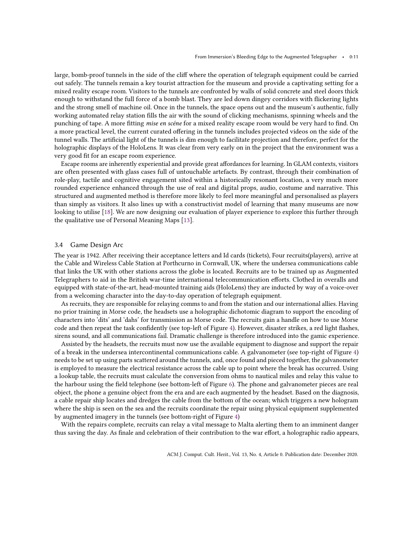large, bomb-proof tunnels in the side of the cliff where the operation of telegraph equipment could be carried out safely. The tunnels remain a key tourist attraction for the museum and provide a captivating setting for a mixed reality escape room. Visitors to the tunnels are confronted by walls of solid concrete and steel doors thick enough to withstand the full force of a bomb blast. They are led down dingey corridors with flickering lights and the strong smell of machine oil. Once in the tunnels, the space opens out and the museum's authentic, fully working automated relay station fills the air with the sound of clicking mechanisms, spinning wheels and the punching of tape. A more fitting mise en scéne for a mixed reality escape room would be very hard to find. On a more practical level, the current curated offering in the tunnels includes projected videos on the side of the tunnel walls. The artificial light of the tunnels is dim enough to facilitate projection and therefore, perfect for the holographic displays of the HoloLens. It was clear from very early on in the project that the environment was a very good fit for an escape room experience.

Escape rooms are inherently experiential and provide great affordances for learning. In GLAM contexts, visitors are often presented with glass cases full of untouchable artefacts. By contrast, through their combination of role-play, tactile and cognitive engagement sited within a historically resonant location, a very much more rounded experience enhanced through the use of real and digital props, audio, costume and narrative. This structured and augmented method is therefore more likely to feel more meaningful and personalised as players than simply as visitors. It also lines up with a constructivist model of learning that many museums are now looking to utilise [\[18\]](#page-19-19). We are now designing our evaluation of player experience to explore this further through the qualitative use of Personal Meaning Maps [\[13\]](#page-19-20).

### 3.4 Game Design Arc

The year is 1942. After receiving their acceptance letters and Id cards (tickets), Four recruits(players), arrive at the Cable and Wireless Cable Station at Porthcurno in Cornwall, UK, where the undersea communications cable that links the UK with other stations across the globe is located. Recruits are to be trained up as Augmented Telegraphers to aid in the British war-time international telecommunication efforts. Clothed in overalls and equipped with state-of-the-art, head-mounted training aids (HoloLens) they are inducted by way of a voice-over from a welcoming character into the day-to-day operation of telegraph equipment.

As recruits, they are responsible for relaying comms to and from the station and our international allies. Having no prior training in Morse code, the headsets use a holographic dichotomic diagram to support the encoding of characters into 'dits' and 'dahs' for transmission as Morse code. The recruits gain a handle on how to use Morse code and then repeat the task confidently (see top-left of Figure [4\)](#page-11-0). However, disaster strikes, a red light flashes, sirens sound, and all communications fail. Dramatic challenge is therefore introduced into the gamic experience.

Assisted by the headsets, the recruits must now use the available equipment to diagnose and support the repair of a break in the undersea intercontinental communications cable. A galvanometer (see top-right of Figure [4\)](#page-11-0) needs to be set up using parts scattered around the tunnels, and, once found and pieced together, the galvanometer is employed to measure the electrical resistance across the cable up to point where the break has occurred. Using a lookup table, the recruits must calculate the conversion from ohms to nautical miles and relay this value to the harbour using the field telephone (see bottom-left of Figure [6\)](#page-13-0). The phone and galvanometer pieces are real object, the phone a genuine object from the era and are each augmented by the headset. Based on the diagnosis, a cable repair ship locates and dredges the cable from the bottom of the ocean; which triggers a new hologram where the ship is seen on the sea and the recruits coordinate the repair using physical equipment supplemented by augmented imagery in the tunnels (see bottom-right of Figure [4\)](#page-11-0)

With the repairs complete, recruits can relay a vital message to Malta alerting them to an imminent danger thus saving the day. As finale and celebration of their contribution to the war effort, a holographic radio appears,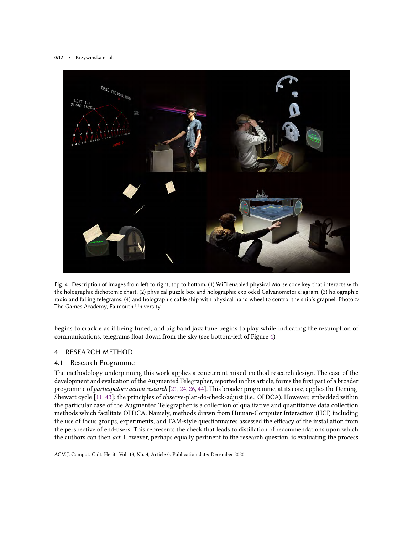<span id="page-11-0"></span>

Fig. 4. Description of images from left to right, top to bottom: (1) WiFi enabled physical Morse code key that interacts with the holographic dichotomic chart, (2) physical puzzle box and holographic exploded Galvanometer diagram, (3) holographic radio and falling telegrams, (4) and holographic cable ship with physical hand wheel to control the ship's grapnel. Photo © The Games Academy, Falmouth University.

begins to crackle as if being tuned, and big band jazz tune begins to play while indicating the resumption of communications, telegrams float down from the sky (see bottom-left of Figure [4\)](#page-11-0).

# 4 RESEARCH METHOD

# 4.1 Research Programme

The methodology underpinning this work applies a concurrent mixed-method research design. The case of the development and evaluation of the Augmented Telegrapher, reported in this article, forms the first part of a broader programme of participatory action research [\[21,](#page-19-21) [24,](#page-19-22) [26,](#page-19-23) [44\]](#page-20-10). This broader programme, at its core, applies the Deming-Shewart cycle [\[11,](#page-19-24) [43\]](#page-20-11): the principles of observe-plan-do-check-adjust (i.e., OPDCA). However, embedded within the particular case of the Augmented Telegrapher is a collection of qualitative and quantitative data collection methods which facilitate OPDCA. Namely, methods drawn from Human-Computer Interaction (HCI) including the use of focus groups, experiments, and TAM-style questionnaires assessed the efficacy of the installation from the perspective of end-users. This represents the check that leads to distillation of recommendations upon which the authors can then *act*. However, perhaps equally pertinent to the research question, is evaluating the process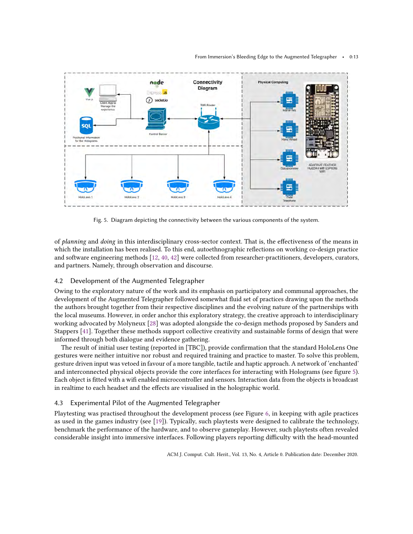<span id="page-12-0"></span>

Fig. 5. Diagram depicting the connectivity between the various components of the system.

of planning and doing in this interdisciplinary cross-sector context. That is, the effectiveness of the means in which the installation has been realised. To this end, autoethnographic reflections on working co-design practice and software engineering methods [\[12,](#page-19-25) [40,](#page-20-12) [42\]](#page-20-13) were collected from researcher-practitioners, developers, curators, and partners. Namely, through observation and discourse.

# 4.2 Development of the Augmented Telegrapher

Owing to the exploratory nature of the work and its emphasis on participatory and communal approaches, the development of the Augmented Telegrapher followed somewhat fluid set of practices drawing upon the methods the authors brought together from their respective disciplines and the evolving nature of the partnerships with the local museums. However, in order anchor this exploratory strategy, the creative approach to interdisciplinary working advocated by Molyneux [\[28\]](#page-19-26) was adopted alongside the co-design methods proposed by Sanders and Stappers [\[41\]](#page-20-14). Together these methods support collective creativity and sustainable forms of design that were informed through both dialogue and evidence gathering.

The result of initial user testing (reported in [TBC]), provide confirmation that the standard HoloLens One gestures were neither intuitive nor robust and required training and practice to master. To solve this problem, gesture driven input was vetoed in favour of a more tangible, tactile and haptic approach. A network of 'enchanted' and interconnected physical objects provide the core interfaces for interacting with Holograms (see figure [5\)](#page-12-0). Each object is fitted with a wifi enabled microcontroller and sensors. Interaction data from the objects is broadcast in realtime to each headset and the effects are visualised in the holographic world.

# 4.3 Experimental Pilot of the Augmented Telegrapher

Playtesting was practised throughout the development process (see Figure [6,](#page-13-0) in keeping with agile practices as used in the games industry (see [\[19\]](#page-19-27)). Typically, such playtests were designed to calibrate the technology, benchmark the performance of the hardware, and to observe gameplay. However, such playtests often revealed considerable insight into immersive interfaces. Following players reporting difficulty with the head-mounted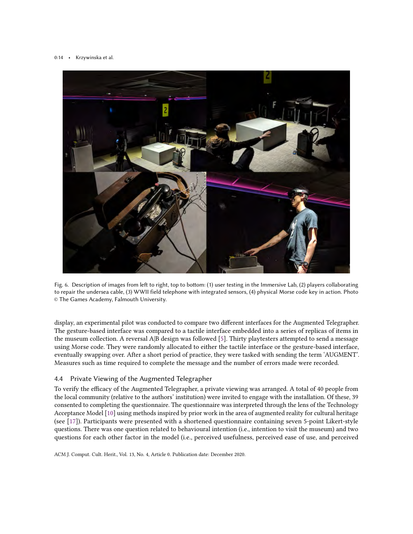<span id="page-13-0"></span>

Fig. 6. Description of images from left to right, top to bottom: (1) user testing in the Immersive Lab, (2) players collaborating to repair the undersea cable, (3) WWII field telephone with integrated sensors, (4) physical Morse code key in action. Photo © The Games Academy, Falmouth University.

display, an experimental pilot was conducted to compare two different interfaces for the Augmented Telegrapher. The gesture-based interface was compared to a tactile interface embedded into a series of replicas of items in the museum collection. A reversal A|B design was followed [\[5\]](#page-19-28). Thirty playtesters attempted to send a message using Morse code. They were randomly allocated to either the tactile interface or the gesture-based interface, eventually swapping over. After a short period of practice, they were tasked with sending the term 'AUGMENT'. Measures such as time required to complete the message and the number of errors made were recorded.

# 4.4 Private Viewing of the Augmented Telegrapher

To verify the efficacy of the Augmented Telegrapher, a private viewing was arranged. A total of 40 people from the local community (relative to the authors' institution) were invited to engage with the installation. Of these, 39 consented to completing the questionnaire. The questionnaire was interpreted through the lens of the Technology Acceptance Model [\[10\]](#page-19-29) using methods inspired by prior work in the area of augmented reality for cultural heritage (see [\[17\]](#page-19-30)). Participants were presented with a shortened questionnaire containing seven 5-point Likert-style questions. There was one question related to behavioural intention (i.e., intention to visit the museum) and two questions for each other factor in the model (i.e., perceived usefulness, perceived ease of use, and perceived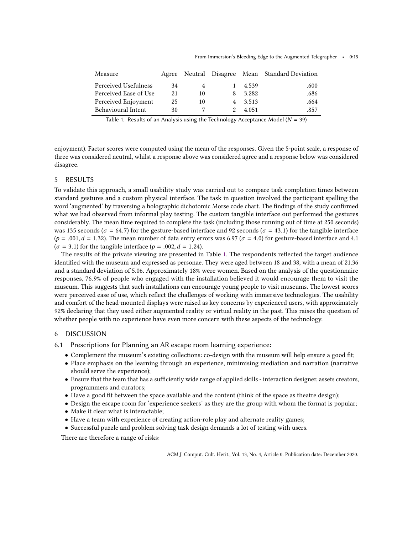<span id="page-14-0"></span>

| Measure               |    |    |         | Agree Neutral Disagree Mean Standard Deviation |
|-----------------------|----|----|---------|------------------------------------------------|
| Perceived Usefulness  | 34 |    | 4.539   | .600                                           |
| Perceived Ease of Use | 21 | 10 | 3.282   | .686                                           |
| Perceived Enjoyment   | 25 | 10 | 4 3.513 | .664                                           |
| Behavioural Intent    | 30 |    | 4.051   | .857                                           |
|                       |    |    |         |                                                |

Table 1. Results of an Analysis using the Technology Acceptance Model ( $N = 39$ )

enjoyment). Factor scores were computed using the mean of the responses. Given the 5-point scale, a response of three was considered neutral, whilst a response above was considered agree and a response below was considered disagree.

# 5 RESULTS

To validate this approach, a small usability study was carried out to compare task completion times between standard gestures and a custom physical interface. The task in question involved the participant spelling the word 'augmented' by traversing a holographic dichotomic Morse code chart. The findings of the study confirmed what we had observed from informal play testing. The custom tangible interface out performed the gestures considerably. The mean time required to complete the task (including those running out of time at 250 seconds) was 135 seconds ( $\sigma$  = 64.7) for the gesture-based interface and 92 seconds ( $\sigma$  = 43.1) for the tangible interface  $(p = .001, d = 1.32)$ . The mean number of data entry errors was 6.97 ( $\sigma = 4.0$ ) for gesture-based interface and 4.1  $(\sigma = 3.1)$  for the tangible interface ( $p = .002$ ,  $d = 1.24$ ).

The results of the private viewing are presented in Table [1.](#page-14-0) The respondents reflected the target audience identified with the museum and expressed as personae. They were aged between 18 and 38, with a mean of 21.36 and a standard deviation of 5.06. Approximately 18% were women. Based on the analysis of the questionnaire responses, <sup>76</sup>.9% of people who engaged with the installation believed it would encourage them to visit the museum. This suggests that such installations can encourage young people to visit museums. The lowest scores were perceived ease of use, which reflect the challenges of working with immersive technologies. The usability and comfort of the head-mounted displays were raised as key concerns by experienced users, with approximately 92% declaring that they used either augmented reality or virtual reality in the past. This raises the question of whether people with no experience have even more concern with these aspects of the technology.

# 6 DISCUSSION

- 6.1 Prescriptions for Planning an AR escape room learning experience:
	- Complement the museum's existing collections: co-design with the museum will help ensure a good fit;
	- Place emphasis on the learning through an experience, minimising mediation and narration (narrative should serve the experience);
	- Ensure that the team that has a sufficiently wide range of applied skills interaction designer, assets creators, programmers and curators;
	- Have a good fit between the space available and the content (think of the space as theatre design);
	- Design the escape room for 'experience seekers' as they are the group with whom the format is popular;
	- Make it clear what is interactable;
	- Have a team with experience of creating action-role play and alternate reality games;
	- Successful puzzle and problem solving task design demands a lot of testing with users.

There are therefore a range of risks: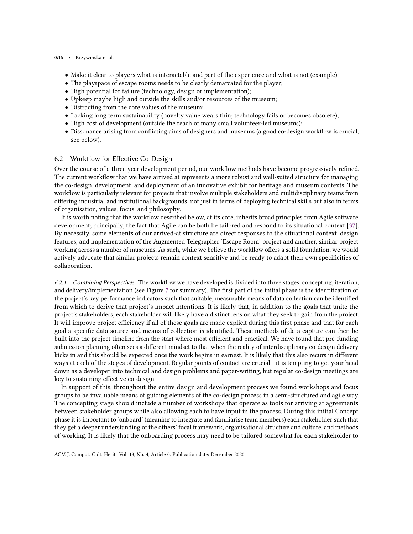### 0:16 • Krzywinska et al.

- Make it clear to players what is interactable and part of the experience and what is not (example);
- The playspace of escape rooms needs to be clearly demarcated for the player;
- High potential for failure (technology, design or implementation);
- Upkeep maybe high and outside the skills and/or resources of the museum;
- Distracting from the core values of the museum;
- Lacking long term sustainability (novelty value wears thin; technology fails or becomes obsolete);
- High cost of development (outside the reach of many small volunteer-led museums);
- Dissonance arising from conflicting aims of designers and museums (a good co-design workflow is crucial, see below).

# 6.2 Workflow for Effective Co-Design

Over the course of a three year development period, our workflow methods have become progressively refined. The current workflow that we have arrived at represents a more robust and well-suited structure for managing the co-design, development, and deployment of an innovative exhibit for heritage and museum contexts. The workflow is particularly relevant for projects that involve multiple stakeholders and multidisciplinary teams from differing industrial and institutional backgrounds, not just in terms of deploying technical skills but also in terms of organisation, values, focus, and philosophy.

It is worth noting that the workflow described below, at its core, inherits broad principles from Agile software development; principally, the fact that Agile can be both be tailored and respond to its situational context [\[37\]](#page-20-15). By necessity, some elements of our arrived-at structure are direct responses to the situational context, design features, and implementation of the Augmented Telegrapher 'Escape Room' project and another, similar project working across a number of museums. As such, while we believe the workflow offers a solid foundation, we would actively advocate that similar projects remain context sensitive and be ready to adapt their own specificities of collaboration.

6.2.1 Combining Perspectives. The workflow we have developed is divided into three stages: concepting, iteration, and delivery/implementation (see Figure [7](#page-16-0) for summary). The first part of the initial phase is the identification of the project's key performance indicators such that suitable, measurable means of data collection can be identified from which to derive that project's impact intentions. It is likely that, in addition to the goals that unite the project's stakeholders, each stakeholder will likely have a distinct lens on what they seek to gain from the project. It will improve project efficiency if all of these goals are made explicit during this first phase and that for each goal a specific data source and means of collection is identified. These methods of data capture can then be built into the project timeline from the start where most efficient and practical. We have found that pre-funding submission planning often sees a different mindset to that when the reality of interdisciplinary co-design delivery kicks in and this should be expected once the work begins in earnest. It is likely that this also recurs in different ways at each of the stages of development. Regular points of contact are crucial - it is tempting to get your head down as a developer into technical and design problems and paper-writing, but regular co-design meetings are key to sustaining effective co-design.

In support of this, throughout the entire design and development process we found workshops and focus groups to be invaluable means of guiding elements of the co-design process in a semi-structured and agile way. The concepting stage should include a number of workshops that operate as tools for arriving at agreements between stakeholder groups while also allowing each to have input in the process. During this initial Concept phase it is important to 'onboard' (meaning to integrate and familiarise team members) each stakeholder such that they get a deeper understanding of the others' focal framework, organisational structure and culture, and methods of working. It is likely that the onboarding process may need to be tailored somewhat for each stakeholder to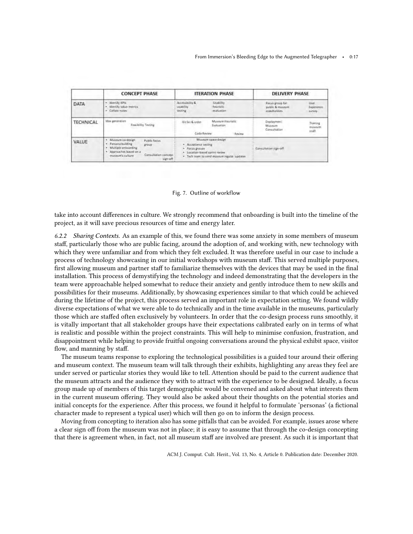<span id="page-16-0"></span>

|                  | <b>CONCEPT PHASE</b>                                                                                                                                                                  | <b>ITERATION PHASE</b>                                                                                                                         | <b>DELIVERY PHASE</b>                                                                                      |  |
|------------------|---------------------------------------------------------------------------------------------------------------------------------------------------------------------------------------|------------------------------------------------------------------------------------------------------------------------------------------------|------------------------------------------------------------------------------------------------------------|--|
| DATA             | · Identify KPb<br>· Identify value metrics<br>· Collule notes                                                                                                                         | Accessibility &<br>Usability<br>usability.<br>heuristic<br>testing<br><i>evaluation</i>                                                        | User.<br>Focus group for<br>public & missoum<br><b>Experience</b><br>stakeholders.<br>survey               |  |
| <b>TECHNICAL</b> | Idea generation<br>Feasibility Testing                                                                                                                                                | Massum Hearistic<br>Kit list & order<br>Evaluation:<br>Cade Review.<br>Raylow                                                                  | Deployment<br>Training<br>Miseum<br><b>ITIUS DUTT</b><br>Consultation<br>flat1<br><b><i>DALLY ROOM</i></b> |  |
| VALUE            | · Maseum co-design<br>Public focus<br>· Persona building<br><b>STOWD</b><br>· Multiple onboarding<br>· Approaches based on a<br>Consultation concept<br>museum's culture.<br>sign-pff | Museum space design<br>· Acceptance testing<br>· Focus groups<br>· Location-based sprint roviny<br>. Tech team to send museum regular lupdates | <b>Consultation</b> sign-off                                                                               |  |

#### Fig. 7. Outline of workflow

take into account differences in culture. We strongly recommend that onboarding is built into the timeline of the project, as it will save precious resources of time and energy later.

6.2.2 Sharing Contexts. As an example of this, we found there was some anxiety in some members of museum staff, particularly those who are public facing, around the adoption of, and working with, new technology with which they were unfamiliar and from which they felt excluded. It was therefore useful in our case to include a process of technology showcasing in our initial workshops with museum staff. This served multiple purposes, first allowing museum and partner staff to familiarize themselves with the devices that may be used in the final installation. This process of demystifying the technology and indeed demonstrating that the developers in the team were approachable helped somewhat to reduce their anxiety and gently introduce them to new skills and possibilities for their museums. Additionally, by showcasing experiences similar to that which could be achieved during the lifetime of the project, this process served an important role in expectation setting. We found wildly diverse expectations of what we were able to do technically and in the time available in the museums, particularly those which are staffed often exclusively by volunteers. In order that the co-design process runs smoothly, it is vitally important that all stakeholder groups have their expectations calibrated early on in terms of what is realistic and possible within the project constraints. This will help to minimise confusion, frustration, and disappointment while helping to provide fruitful ongoing conversations around the physical exhibit space, visitor flow, and manning by staff.

The museum teams response to exploring the technological possibilities is a guided tour around their offering and museum context. The museum team will talk through their exhibits, highlighting any areas they feel are under served or particular stories they would like to tell. Attention should be paid to the current audience that the museum attracts and the audience they with to attract with the experience to be designed. Ideally, a focus group made up of members of this target demographic would be convened and asked about what interests them in the current museum offering. They would also be asked about their thoughts on the potential stories and initial concepts for the experience. After this process, we found it helpful to formulate 'personas' (a fictional character made to represent a typical user) which will then go on to inform the design process.

Moving from concepting to iteration also has some pitfalls that can be avoided. For example, issues arose where a clear sign off from the museum was not in place; it is easy to assume that through the co-design concepting that there is agreement when, in fact, not all museum staff are involved are present. As such it is important that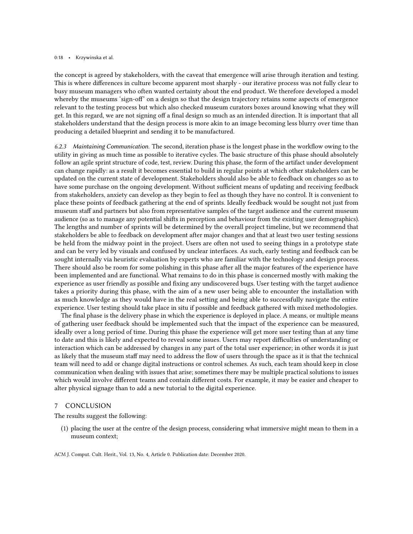#### 0:18 • Krzywinska et al.

the concept is agreed by stakeholders, with the caveat that emergence will arise through iteration and testing. This is where differences in culture become apparent most sharply - our iterative process was not fully clear to busy museum managers who often wanted certainty about the end product. We therefore developed a model whereby the museums 'sign-off' on a design so that the design trajectory retains some aspects of emergence relevant to the testing process but which also checked museum curators boxes around knowing what they will get. In this regard, we are not signing off a final design so much as an intended direction. It is important that all stakeholders understand that the design process is more akin to an image becoming less blurry over time than producing a detailed blueprint and sending it to be manufactured.

6.2.3 Maintaining Communication. The second, iteration phase is the longest phase in the workflow owing to the utility in giving as much time as possible to iterative cycles. The basic structure of this phase should absolutely follow an agile sprint structure of code, test, review. During this phase, the form of the artifact under development can change rapidly: as a result it becomes essential to build in regular points at which other stakeholders can be updated on the current state of development. Stakeholders should also be able to feedback on changes so as to have some purchase on the ongoing development. Without sufficient means of updating and receiving feedback from stakeholders, anxiety can develop as they begin to feel as though they have no control. It is convenient to place these points of feedback gathering at the end of sprints. Ideally feedback would be sought not just from museum staff and partners but also from representative samples of the target audience and the current museum audience (so as to manage any potential shifts in perception and behaviour from the existing user demographics). The lengths and number of sprints will be determined by the overall project timeline, but we recommend that stakeholders be able to feedback on development after major changes and that at least two user testing sessions be held from the midway point in the project. Users are often not used to seeing things in a prototype state and can be very led by visuals and confused by unclear interfaces. As such, early testing and feedback can be sought internally via heuristic evaluation by experts who are familiar with the technology and design process. There should also be room for some polishing in this phase after all the major features of the experience have been implemented and are functional. What remains to do in this phase is concerned mostly with making the experience as user friendly as possible and fixing any undiscovered bugs. User testing with the target audience takes a priority during this phase, with the aim of a new user being able to encounter the installation with as much knowledge as they would have in the real setting and being able to successfully navigate the entire experience. User testing should take place in situ if possible and feedback gathered with mixed methodologies.

The final phase is the delivery phase in which the experience is deployed in place. A means, or multiple means of gathering user feedback should be implemented such that the impact of the experience can be measured, ideally over a long period of time. During this phase the experience will get more user testing than at any time to date and this is likely and expected to reveal some issues. Users may report difficulties of understanding or interaction which can be addressed by changes in any part of the total user experience; in other words it is just as likely that the museum staff may need to address the flow of users through the space as it is that the technical team will need to add or change digital instructions or control schemes. As such, each team should keep in close communication when dealing with issues that arise; sometimes there may be multiple practical solutions to issues which would involve different teams and contain different costs. For example, it may be easier and cheaper to alter physical signage than to add a new tutorial to the digital experience.

### 7 CONCLUSION

The results suggest the following:

(1) placing the user at the centre of the design process, considering what immersive might mean to them in a museum context;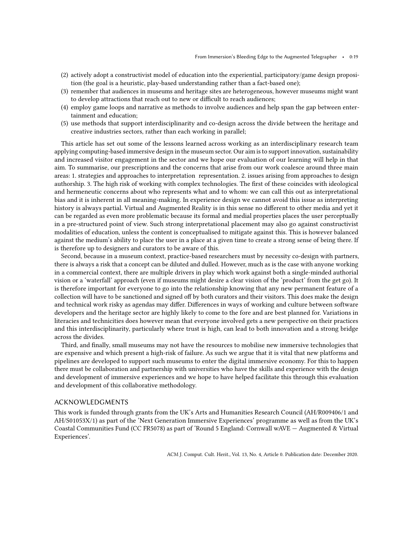- (2) actively adopt a constructivist model of education into the experiential, participatory/game design proposition (the goal is a heuristic, play-based understanding rather than a fact-based one);
- (3) remember that audiences in museums and heritage sites are heterogeneous, however museums might want to develop attractions that reach out to new or difficult to reach audiences;
- (4) employ game loops and narrative as methods to involve audiences and help span the gap between entertainment and education;
- (5) use methods that support interdisciplinarity and co-design across the divide between the heritage and creative industries sectors, rather than each working in parallel;

This article has set out some of the lessons learned across working as an interdisciplinary research team applying computing-based immersive design in the museum sector. Our aim is to support innovation, sustainability and increased visitor engagement in the sector and we hope our evaluation of our learning will help in that aim. To summarise, our prescriptions and the concerns that arise from our work coalesce around three main areas: 1. strategies and approaches to interpretation representation. 2. issues arising from approaches to design authorship. 3. The high risk of working with complex technologies. The first of these coincides with ideological and hermeneutic concerns about who represents what and to whom: we can call this out as interpretational bias and it is inherent in all meaning-making. In experience design we cannot avoid this issue as interpreting history is always partial. Virtual and Augmented Reality is in this sense no different to other media and yet it can be regarded as even more problematic because its formal and medial properties places the user perceptually in a pre-structured point of view. Such strong interpretational placement may also go against constructivist modalities of education, unless the content is conceptualised to mitigate against this. This is however balanced against the medium's ability to place the user in a place at a given time to create a strong sense of being there. If is therefore up to designers and curators to be aware of this.

Second, because in a museum context, practice-based researchers must by necessity co-design with partners, there is always a risk that a concept can be diluted and dulled. However, much as is the case with anyone working in a commercial context, there are multiple drivers in play which work against both a single-minded authorial vision or a 'waterfall' approach (even if museums might desire a clear vision of the 'product' from the get go). It is therefore important for everyone to go into the relationship knowing that any new permanent feature of a collection will have to be sanctioned and signed off by both curators and their visitors. This does make the design and technical work risky as agendas may differ. Differences in ways of working and culture between software developers and the heritage sector are highly likely to come to the fore and are best planned for. Variations in literacies and technicities does however mean that everyone involved gets a new perspective on their practices and this interdisciplinarity, particularly where trust is high, can lead to both innovation and a strong bridge across the divides.

Third, and finally, small museums may not have the resources to mobilise new immersive technologies that are expensive and which present a high-risk of failure. As such we argue that it is vital that new platforms and pipelines are developed to support such museums to enter the digital immersive economy. For this to happen there must be collaboration and partnership with universities who have the skills and experience with the design and development of immersive experiences and we hope to have helped facilitate this through this evaluation and development of this collaborative methodology.

# ACKNOWLEDGMENTS

This work is funded through grants from the UK's Arts and Humanities Research Council (AH/R009406/1 and AH/S01053X/1) as part of the 'Next Generation Immersive Experiences' programme as well as from the UK's Coastal Communities Fund (CC FR5078) as part of 'Round 5 England: Cornwall wAVE — Augmented & Virtual Experiences'.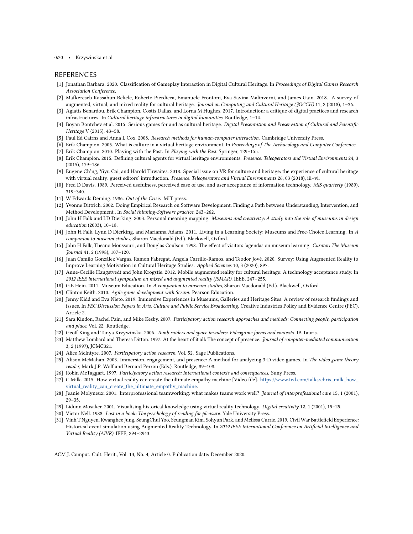#### 0:20 • Krzywinska et al.

### REFERENCES

- <span id="page-19-8"></span>[1] Jonathan Barbara. 2020. Classification of Gameplay Interaction in Digital Cultural Heritage. In Proceedings of Digital Games Research Association Conference.
- <span id="page-19-3"></span>[2] Mafkereseb Kassahun Bekele, Roberto Pierdicca, Emanuele Frontoni, Eva Savina Malinverni, and James Gain. 2018. A survey of augmented, virtual, and mixed reality for cultural heritage. Journal on Computing and Cultural Heritage (JOCCH) 11, 2 (2018), 1-36.
- <span id="page-19-15"></span>[3] Agiatis Benardou, Erik Champion, Costis Dallas, and Lorna M Hughes. 2017. Introduction: a critique of digital practices and research infrastructures. In Cultural heritage infrastructures in digital humanities. Routledge, 1–14.
- <span id="page-19-9"></span>[4] Boyan Bontchev et al. 2015. Serious games for and as cultural heritage. Digital Presentation and Preservation of Cultural and Scientific Heritage V (2015), 43–58.
- <span id="page-19-28"></span>[5] Paul Ed Cairns and Anna L Cox. 2008. Research methods for human-computer interaction. Cambridge University Press.
- <span id="page-19-16"></span>[6] Erik Champion. 2005. What is culture in a virtual heritage environment. In Proceedings of The Archaeology and Computer Conference.
- <span id="page-19-2"></span>[7] Erik Champion. 2010. Playing with the Past. In Playing with the Past. Springer, 129-155.
- <span id="page-19-5"></span>[8] Erik Champion. 2015. Defining cultural agents for virtual heritage environments. Presence: Teleoperators and Virtual Environments 24, 3 (2015), 179–186.
- <span id="page-19-6"></span>[9] Eugene Ch'ng, Yiyu Cai, and Harold Thwaites. 2018. Special issue on VR for culture and heritage: the experience of cultural heritage with virtual reality: guest editors' introduction. Presence: Teleoperators and Virtual Environments 26, 03 (2018), iii-vi.
- <span id="page-19-29"></span>[10] Fred D Davis. 1989. Perceived usefulness, perceived ease of use, and user acceptance of information technology. MIS quarterly (1989), 319–340.
- <span id="page-19-24"></span>[11] W Edwards Deming. 1986. Out of the Crisis. MIT press.
- <span id="page-19-25"></span>[12] Yvonne Dittrich. 2002. Doing Empirical Research on Software Development: Finding a Path between Understanding, Intervention, and Method Development.. In Social thinking-Software practice. 243–262.
- <span id="page-19-20"></span>[13] John H Falk and LD Dierking. 2003. Personal meaning mapping. Museums and creativity: A study into the role of museums in design education (2003), 10–18.
- <span id="page-19-0"></span>[14] John H Falk, Lynn D Dierking, and Marianna Adams. 2011. Living in a Learning Society: Museums and Free-Choice Learning. In A companion to museum studies, Sharon Macdonald (Ed.). Blackwell, Oxford.
- <span id="page-19-1"></span>[15] John H Falk, Theano Moussouri, and Douglas Coulson. 1998. The effect of visitors 'agendas on museum learning. Curator: The Museum Journal 41, 2 (1998), 107–120.
- <span id="page-19-4"></span>[16] Juan Camilo González Vargas, Ramon Fabregat, Angela Carrillo-Ramos, and Teodor Jové. 2020. Survey: Using Augmented Reality to Improve Learning Motivation in Cultural Heritage Studies. Applied Sciences 10, 3 (2020), 897.
- <span id="page-19-30"></span>[17] Anne-Cecilie Haugstvedt and John Krogstie. 2012. Mobile augmented reality for cultural heritage: A technology acceptance study. In 2012 IEEE international symposium on mixed and augmented reality (ISMAR). IEEE, 247–255.
- <span id="page-19-19"></span>[18] G.E Hein. 2011. Museum Education. In A companion to museum studies, Sharon Macdonald (Ed.). Blackwell, Oxford.
- <span id="page-19-27"></span>[19] Clinton Keith. 2010. Agile game development with Scrum. Pearson Education.
- <span id="page-19-10"></span>[20] Jenny Kidd and Eva Nieto. 2019. Immersive Experiences in Museums, Galleries and Heritage Sites: A review of research findings and issues. In PEC Discussion Papers in Arts, Culture and Public Service Broadcasting. Creative Industries Policy and Evidence Centre (PEC), Article 2.
- <span id="page-19-21"></span>[21] Sara Kindon, Rachel Pain, and Mike Kesby. 2007. Participatory action research approaches and methods: Connecting people, participation and place. Vol. 22. Routledge.
- <span id="page-19-13"></span>[22] Geoff King and Tanya Krzywinska. 2006. Tomb raiders and space invaders: Videogame forms and contexts. IB Tauris.
- <span id="page-19-14"></span>[23] Matthew Lombard and Theresa Ditton. 1997. At the heart of it all: The concept of presence. Journal of computer-mediated communication 3, 2 (1997), JCMC321.
- <span id="page-19-22"></span>[24] Alice McIntyre. 2007. Participatory action research. Vol. 52. Sage Publications.
- <span id="page-19-11"></span>[25] Alison McMahan. 2003. Immersion, engagement, and presence: A method for analyzing 3-D video games. In The video game theory reader, Mark J.P. Wolf and Bernard Perron (Eds.). Routledge, 89–108.
- <span id="page-19-23"></span>[26] Robin McTaggart. 1997. Participatory action research: International contexts and consequences. Suny Press.
- <span id="page-19-18"></span>[27] C Milk. 2015. How virtual reality can create the ultimate empathy machine [Video file]. [https://www.ted.com/talks/chris\\_milk\\_how\\_](https://www.ted.com/talks/chris_milk_how_virtual_reality_can_create_the_ultimate_empathy_machine) [virtual\\_reality\\_can\\_create\\_the\\_ultimate\\_empathy\\_machine.](https://www.ted.com/talks/chris_milk_how_virtual_reality_can_create_the_ultimate_empathy_machine)
- <span id="page-19-26"></span>[28] Jeanie Molyneux. 2001. Interprofessional teamworking: what makes teams work well? Journal of interprofessional care 15, 1 (2001), 29–35.
- <span id="page-19-17"></span>[29] Lidunn Mosaker. 2001. Visualising historical knowledge using virtual reality technology. Digital creativity 12, 1 (2001), 15–25.
- <span id="page-19-12"></span>[30] Victor Nell. 1988. Lost in a book: The psychology of reading for pleasure. Yale University Press.
- <span id="page-19-7"></span>[31] Vinh T Nguyen, Kwanghee Jung, SeungChul Yoo, Seungman Kim, Sohyun Park, and Melissa Currie. 2019. Civil War Battlefield Experience: Historical event simulation using Augmented Reality Technology. In 2019 IEEE International Conference on Artificial Intelligence and Virtual Reality (AIVR). IEEE, 294–2943.